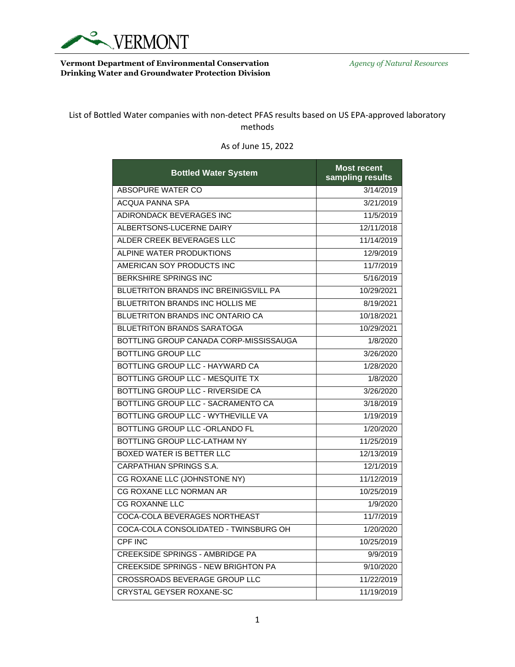

## **Vermont Department of Environmental Conservation** *Agency of Natural Resources* **Drinking Water and Groundwater Protection Division**

List of Bottled Water companies with non-detect PFAS results based on US EPA-approved laboratory methods

| <b>Bottled Water System</b>                  | <b>Most recent</b><br>sampling results |
|----------------------------------------------|----------------------------------------|
| <b>ABSOPURE WATER CO</b>                     | 3/14/2019                              |
| <b>ACQUA PANNA SPA</b>                       | 3/21/2019                              |
| ADIRONDACK BEVERAGES INC                     | 11/5/2019                              |
| ALBERTSONS-LUCERNE DAIRY                     | 12/11/2018                             |
| ALDER CREEK BEVERAGES LLC                    | 11/14/2019                             |
| ALPINE WATER PRODUKTIONS                     | 12/9/2019                              |
| AMERICAN SOY PRODUCTS INC                    | 11/7/2019                              |
| <b>BERKSHIRE SPRINGS INC</b>                 | 5/16/2019                              |
| <b>BLUETRITON BRANDS INC BREINIGSVILL PA</b> | 10/29/2021                             |
| BLUETRITON BRANDS INC HOLLIS ME              | 8/19/2021                              |
| <b>BLUETRITON BRANDS INC ONTARIO CA</b>      | 10/18/2021                             |
| <b>BLUETRITON BRANDS SARATOGA</b>            | 10/29/2021                             |
| BOTTLING GROUP CANADA CORP-MISSISSAUGA       | 1/8/2020                               |
| <b>BOTTLING GROUP LLC</b>                    | 3/26/2020                              |
| BOTTLING GROUP LLC - HAYWARD CA              | 1/28/2020                              |
| BOTTLING GROUP LLC - MESQUITE TX             | 1/8/2020                               |
| BOTTLING GROUP LLC - RIVERSIDE CA            | 3/26/2020                              |
| BOTTLING GROUP LLC - SACRAMENTO CA           | 3/18/2019                              |
| BOTTLING GROUP LLC - WYTHEVILLE VA           | 1/19/2019                              |
| BOTTLING GROUP LLC -ORLANDO FL               | 1/20/2020                              |
| BOTTLING GROUP LLC-LATHAM NY                 | 11/25/2019                             |
| BOXED WATER IS BETTER LLC                    | 12/13/2019                             |
| <b>CARPATHIAN SPRINGS S.A.</b>               | 12/1/2019                              |
| CG ROXANE LLC (JOHNSTONE NY)                 | 11/12/2019                             |
| CG ROXANE LLC NORMAN AR                      | 10/25/2019                             |
| <b>CG ROXANNE LLC</b>                        | 1/9/2020                               |
| COCA-COLA BEVERAGES NORTHEAST                | 11/7/2019                              |
| COCA-COLA CONSOLIDATED - TWINSBURG OH        | 1/20/2020                              |
| CPF INC                                      | 10/25/2019                             |
| <b>CREEKSIDE SPRINGS - AMBRIDGE PA</b>       | 9/9/2019                               |
| <b>CREEKSIDE SPRINGS - NEW BRIGHTON PA</b>   | 9/10/2020                              |
| <b>CROSSROADS BEVERAGE GROUP LLC</b>         | 11/22/2019                             |
| <b>CRYSTAL GEYSER ROXANE-SC</b>              | 11/19/2019                             |

## As of June 15, 2022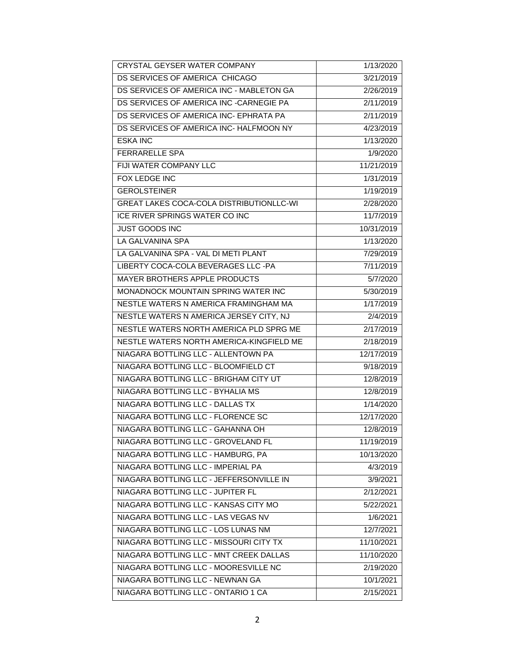| CRYSTAL GEYSER WATER COMPANY             | 1/13/2020  |
|------------------------------------------|------------|
| DS SERVICES OF AMERICA CHICAGO           | 3/21/2019  |
| DS SERVICES OF AMERICA INC - MABLETON GA | 2/26/2019  |
| DS SERVICES OF AMERICA INC -CARNEGIE PA  | 2/11/2019  |
| DS SERVICES OF AMERICA INC- EPHRATA PA   | 2/11/2019  |
| DS SERVICES OF AMERICA INC- HALFMOON NY  | 4/23/2019  |
| <b>ESKA INC</b>                          | 1/13/2020  |
| FERRARELLE SPA                           | 1/9/2020   |
| FIJI WATER COMPANY LLC                   | 11/21/2019 |
| <b>FOX LEDGE INC</b>                     | 1/31/2019  |
| <b>GEROLSTEINER</b>                      | 1/19/2019  |
| GREAT LAKES COCA-COLA DISTRIBUTIONLLC-WI | 2/28/2020  |
| ICE RIVER SPRINGS WATER CO INC           | 11/7/2019  |
| <b>JUST GOODS INC</b>                    | 10/31/2019 |
| LA GALVANINA SPA                         | 1/13/2020  |
| LA GALVANINA SPA - VAL DI METI PLANT     | 7/29/2019  |
| LIBERTY COCA-COLA BEVERAGES LLC -PA      | 7/11/2019  |
| <b>MAYER BROTHERS APPLE PRODUCTS</b>     | 5/7/2020   |
| MONADNOCK MOUNTAIN SPRING WATER INC      | 5/30/2019  |
| NESTLE WATERS N AMERICA FRAMINGHAM MA    | 1/17/2019  |
| NESTLE WATERS N AMERICA JERSEY CITY, NJ  | 2/4/2019   |
| NESTLE WATERS NORTH AMERICA PLD SPRG ME  | 2/17/2019  |
| NESTLE WATERS NORTH AMERICA-KINGFIELD ME | 2/18/2019  |
| NIAGARA BOTTLING LLC - ALLENTOWN PA      | 12/17/2019 |
| NIAGARA BOTTLING LLC - BLOOMFIELD CT     | 9/18/2019  |
| NIAGARA BOTTLING LLC - BRIGHAM CITY UT   | 12/8/2019  |
| NIAGARA BOTTLING LLC - BYHALIA MS        | 12/8/2019  |
| NIAGARA BOTTLING LLC - DALLAS TX         | 1/14/2020  |
| NIAGARA BOTTLING LLC - FLORENCE SC       | 12/17/2020 |
| NIAGARA BOTTLING LLC - GAHANNA OH        | 12/8/2019  |
| NIAGARA BOTTLING LLC - GROVELAND FL      | 11/19/2019 |
| NIAGARA BOTTLING LLC - HAMBURG, PA       | 10/13/2020 |
| NIAGARA BOTTLING LLC - IMPERIAL PA       | 4/3/2019   |
| NIAGARA BOTTLING LLC - JEFFERSONVILLE IN | 3/9/2021   |
| NIAGARA BOTTLING LLC - JUPITER FL        | 2/12/2021  |
| NIAGARA BOTTLING LLC - KANSAS CITY MO    | 5/22/2021  |
| NIAGARA BOTTLING LLC - LAS VEGAS NV      | 1/6/2021   |
| NIAGARA BOTTLING LLC - LOS LUNAS NM      | 12/7/2021  |
| NIAGARA BOTTLING LLC - MISSOURI CITY TX  | 11/10/2021 |
| NIAGARA BOTTLING LLC - MNT CREEK DALLAS  | 11/10/2020 |
| NIAGARA BOTTLING LLC - MOORESVILLE NC    | 2/19/2020  |
| NIAGARA BOTTLING LLC - NEWNAN GA         | 10/1/2021  |
| NIAGARA BOTTLING LLC - ONTARIO 1 CA      | 2/15/2021  |